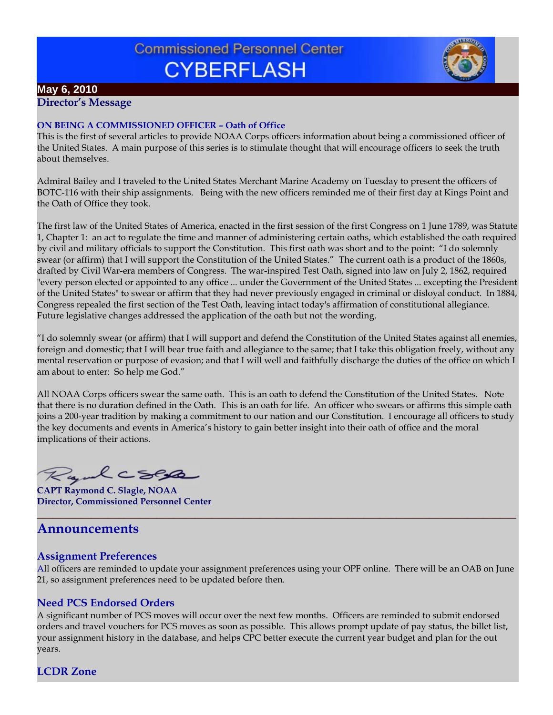# **Commissioned Personnel Center CYBERFLASH**



# **May 6, 2010**

**Director's Message**

#### **ON BEING A COMMISSIONED OFFICER – Oath of Office**

This is the first of several articles to provide NOAA Corps officers information about being a commissioned officer of the United States. A main purpose of this series is to stimulate thought that will encourage officers to seek the truth about themselves.

Admiral Bailey and I traveled to the United States Merchant Marine Academy on Tuesday to present the officers of BOTC-116 with their ship assignments. Being with the new officers reminded me of their first day at Kings Point and the Oath of Office they took.

The first law of the United States of America, enacted in the first session of the first Congress on 1 June 1789, was Statute 1, Chapter 1: an act to regulate the time and manner of administering certain oaths, which established the oath required by civil and military officials to support the Constitution. This first oath was short and to the point: "I do solemnly swear (or affirm) that I will support the Constitution of the United States." The current oath is a product of the 1860s, drafted by Civil War-era members of Congress. The war-inspired Test Oath, signed into law on July 2, 1862, required "every person elected or appointed to any office ... under the Government of the United States ... excepting the President of the United States" to swear or affirm that they had never previously engaged in criminal or disloyal conduct. In 1884, Congress repealed the first section of the Test Oath, leaving intact today's affirmation of constitutional allegiance. Future legislative changes addressed the application of the oath but not the wording.

"I do solemnly swear (or affirm) that I will support and defend the Constitution of the United States against all enemies, foreign and domestic; that I will bear true faith and allegiance to the same; that I take this obligation freely, without any mental reservation or purpose of evasion; and that I will well and faithfully discharge the duties of the office on which I am about to enter: So help me God."

All NOAA Corps officers swear the same oath. This is an oath to defend the Constitution of the United States. Note that there is no duration defined in the Oath. This is an oath for life. An officer who swears or affirms this simple oath joins a 200-year tradition by making a commitment to our nation and our Constitution. I encourage all officers to study the key documents and events in America's history to gain better insight into their oath of office and the moral implications of their actions.

Ryalcses

**CAPT Raymond C. Slagle, NOAA Director, Commissioned Personnel Center**

# **Announcements**

## **Assignment Preferences**

All officers are reminded to update your assignment preferences using your OPF online. There will be an OAB on June 21, so assignment preferences need to be updated before then.

**\_\_\_\_\_\_\_\_\_\_\_\_\_\_\_\_\_\_\_\_\_\_\_\_\_\_\_\_\_\_\_\_\_\_\_\_\_\_\_\_\_\_\_\_\_\_\_\_\_\_\_\_\_\_\_\_\_\_\_\_\_\_\_\_\_\_\_\_\_\_\_\_\_\_\_\_\_\_\_\_\_\_\_\_\_\_\_\_**

# **Need PCS Endorsed Orders**

A significant number of PCS moves will occur over the next few months. Officers are reminded to submit endorsed orders and travel vouchers for PCS moves as soon as possible. This allows prompt update of pay status, the billet list, your assignment history in the database, and helps CPC better execute the current year budget and plan for the out years.

**LCDR Zone**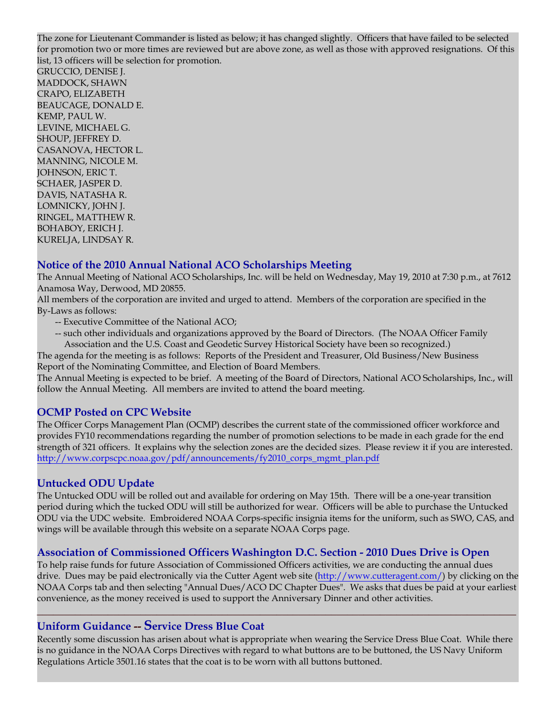The zone for Lieutenant Commander is listed as below; it has changed slightly. Officers that have failed to be selected for promotion two or more times are reviewed but are above zone, as well as those with approved resignations. Of this list, 13 officers will be selection for promotion.

GRUCCIO, DENISE J. MADDOCK, SHAWN CRAPO, ELIZABETH BEAUCAGE, DONALD E. KEMP, PAUL W. LEVINE, MICHAEL G. SHOUP, JEFFREY D. CASANOVA, HECTOR L. MANNING, NICOLE M. JOHNSON, ERIC T. SCHAER, JASPER D. DAVIS, NATASHA R. LOMNICKY, JOHN J. RINGEL, MATTHEW R. BOHABOY, ERICH J. KURELJA, LINDSAY R.

## **Notice of the 2010 Annual National ACO Scholarships Meeting**

The Annual Meeting of National ACO Scholarships, Inc. will be held on Wednesday, May 19, 2010 at 7:30 p.m., at 7612 Anamosa Way, Derwood, MD 20855.

All members of the corporation are invited and urged to attend. Members of the corporation are specified in the By-Laws as follows:

- -- Executive Committee of the National ACO;
- -- such other individuals and organizations approved by the Board of Directors. (The NOAA Officer Family Association and the U.S. Coast and Geodetic Survey Historical Society have been so recognized.)

The agenda for the meeting is as follows: Reports of the President and Treasurer, Old Business/New Business Report of the Nominating Committee, and Election of Board Members.

The Annual Meeting is expected to be brief. A meeting of the Board of Directors, National ACO Scholarships, Inc., will follow the Annual Meeting. All members are invited to attend the board meeting.

## **OCMP Posted on CPC Website**

The Officer Corps Management Plan (OCMP) describes the current state of the commissioned officer workforce and provides FY10 recommendations regarding the number of promotion selections to be made in each grade for the end strength of 321 officers. It explains why the selection zones are the decided sizes. Please review it if you are interested. http://www.corpscpc.noaa.gov/pdf/announcements/fy2010\_corps\_mgmt\_plan.pdf

#### **Untucked ODU Update**

The Untucked ODU will be rolled out and available for ordering on May 15th. There will be a one-year transition period during which the tucked ODU will still be authorized for wear. Officers will be able to purchase the Untucked ODU via the UDC website. Embroidered NOAA Corps-specific insignia items for the uniform, such as SWO, CAS, and wings will be available through this website on a separate NOAA Corps page.

## **Association of Commissioned Officers Washington D.C. Section - 2010 Dues Drive is Open**

To help raise funds for future Association of Commissioned Officers activities, we are conducting the annual dues drive. Dues may be paid electronically via the Cutter Agent web site (http://www.cutteragent.com/) by clicking on the NOAA Corps tab and then selecting "Annual Dues/ACO DC Chapter Dues". We asks that dues be paid at your earliest convenience, as the money received is used to support the Anniversary Dinner and other activities.

**\_\_\_\_\_\_\_\_\_\_\_\_\_\_\_\_\_\_\_\_\_\_\_\_\_\_\_\_\_\_\_\_\_\_\_\_\_\_\_\_\_\_\_\_\_\_\_\_\_\_\_\_\_\_\_\_\_\_\_\_\_\_\_\_\_\_\_\_\_\_\_\_\_\_\_\_\_\_\_\_\_\_\_\_\_\_\_\_**

## **Uniform Guidance -- Service Dress Blue Coat**

Recently some discussion has arisen about what is appropriate when wearing the Service Dress Blue Coat. While there is no guidance in the NOAA Corps Directives with regard to what buttons are to be buttoned, the US Navy Uniform Regulations Article 3501.16 states that the coat is to be worn with all buttons buttoned.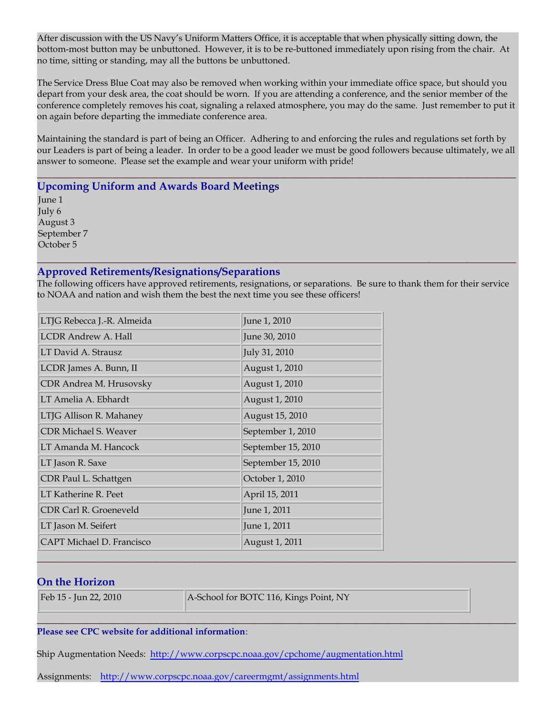After discussion with the US Navy's Uniform Matters Office, it is acceptable that when physically sitting down, the bottom-most button may be unbuttoned. However, it is to be re-buttoned immediately upon rising from the chair. At no time, sitting or standing, may all the buttons be unbuttoned.

The Service Dress Blue Coat may also be removed when working within your immediate office space, but should you depart from your desk area, the coat should be worn. If you are attending a conference, and the senior member of the conference completely removes his coat, signaling a relaxed atmosphere, you may do the same. Just remember to put it on again before departing the immediate conference area.

Maintaining the standard is part of being an Officer. Adhering to and enforcing the rules and regulations set forth by our Leaders is part of being a leader. In order to be a good leader we must be good followers because ultimately, we all answer to someone. Please set the example and wear your uniform with pride!

**\_\_\_\_\_\_\_\_\_\_\_\_\_\_\_\_\_\_\_\_\_\_\_\_\_\_\_\_\_\_\_\_\_\_\_\_\_\_\_\_\_\_\_\_\_\_\_\_\_\_\_\_\_\_\_\_\_\_\_\_\_\_\_\_\_\_\_\_\_\_\_\_\_\_\_\_\_\_\_\_\_\_\_\_\_\_\_\_**

**Upcoming Uniform and Awards Board Meetings**

June 1 July 6 August 3 September 7 October 5

#### **Approved Retirements/Resignations/Separations**

The following officers have approved retirements, resignations, or separations. Be sure to thank them for their service to NOAA and nation and wish them the best the next time you see these officers!

**\_\_\_\_\_\_\_\_\_\_\_\_\_\_\_\_\_\_\_\_\_\_\_\_\_\_\_\_\_\_\_\_\_\_\_\_\_\_\_\_\_\_\_\_\_\_\_\_\_\_\_\_\_\_\_\_\_\_\_\_\_\_\_\_\_\_\_\_\_\_\_\_\_\_\_\_\_\_\_\_\_\_\_\_\_\_\_\_**

| LTJG Rebecca J.-R. Almeida   | June 1, 2010       |
|------------------------------|--------------------|
| LCDR Andrew A. Hall          | June 30, 2010      |
| LT David A. Strausz          | July 31, 2010      |
| LCDR James A. Bunn, II       | August 1, 2010     |
| CDR Andrea M. Hrusovsky      | August 1, 2010     |
| LT Amelia A. Ebhardt         | August 1, 2010     |
| LTJG Allison R. Mahaney      | August 15, 2010    |
| <b>CDR Michael S. Weaver</b> | September 1, 2010  |
| LT Amanda M. Hancock         | September 15, 2010 |
| LT Jason R. Saxe             | September 15, 2010 |
| CDR Paul L. Schattgen        | October 1, 2010    |
| LT Katherine R. Peet         | April 15, 2011     |
| CDR Carl R. Groeneveld       | June 1, 2011       |
| LT Jason M. Seifert          | June 1, 2011       |
| CAPT Michael D. Francisco    | August 1, 2011     |

## **On the Horizon**

Feb 15 - Jun 22, 2010 **A-School for BOTC 116, Kings Point, NY** 

**\_\_\_\_\_\_\_\_\_\_\_\_\_\_\_\_\_\_\_\_\_\_\_\_\_\_\_\_\_\_\_\_\_\_\_\_\_\_\_\_\_\_\_\_\_\_\_\_\_\_\_\_\_\_\_\_\_\_\_\_\_\_\_\_\_\_\_\_\_\_\_\_\_\_\_\_\_\_\_\_\_\_\_\_\_\_\_\_**

#### **\_\_\_\_\_\_\_\_\_\_\_\_\_\_\_\_\_\_\_\_\_\_\_\_\_\_\_\_\_\_\_\_\_\_\_\_\_\_\_\_\_\_\_\_\_\_\_\_\_\_\_\_\_\_\_\_\_\_\_\_\_\_\_\_\_\_\_\_\_\_\_\_\_\_\_\_\_\_\_\_\_\_\_\_\_\_\_\_ Please see CPC website for additional information**:

Ship Augmentation Needs: http://www.corpscpc.noaa.gov/cpchome/augmentation.html

Assignments: http://www.corpscpc.noaa.gov/careermgmt/assignments.html